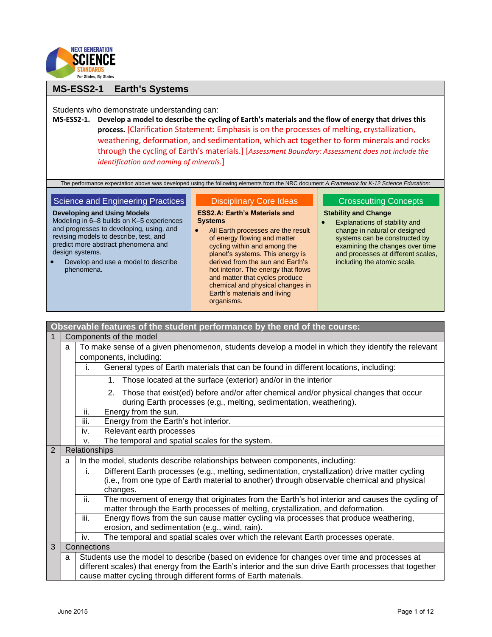

## **MS-ESS2-1 Earth's Systems**

Students who demonstrate understanding can:

**MS-ESS2-1. Develop a model to describe the cycling of Earth's materials and the flow of energy that drives this process.** [Clarification Statement: Emphasis is on the processes of melting, crystallization, weathering, deformation, and sedimentation, which act together to form minerals and rocks through the cycling of Earth's materials.] [*Assessment Boundary: Assessment does not include the identification and naming of minerals.*]

The performance expectation above was developed using the following elements from the NRC document *A Framework for K-12 Science Education*:

## Science and Engineering Practices

**Developing and Using Models** Modeling in 6–8 builds on K–5 experiences and progresses to developing, using, and revising models to describe, test, and predict more abstract phenomena and design systems.

 Develop and use a model to describe phenomena.

#### Disciplinary Core Ideas

**ESS2.A: Earth's Materials and Systems**

• All Earth processes are the result of energy flowing and matter cycling within and among the planet's systems. This energy is derived from the sun and Earth's hot interior. The energy that flows and matter that cycles produce chemical and physical changes in Earth's materials and living organisms.

## Crosscutting Concepts

## **Stability and Change**

 Explanations of stability and change in natural or designed systems can be constructed by examining the changes over time and processes at different scales, including the atomic scale.

|   |                                                                                                      | Observable features of the student performance by the end of the course:                                                                                                                  |  |  |
|---|------------------------------------------------------------------------------------------------------|-------------------------------------------------------------------------------------------------------------------------------------------------------------------------------------------|--|--|
|   |                                                                                                      | Components of the model                                                                                                                                                                   |  |  |
|   | a                                                                                                    | To make sense of a given phenomenon, students develop a model in which they identify the relevant                                                                                         |  |  |
|   |                                                                                                      | components, including:                                                                                                                                                                    |  |  |
|   |                                                                                                      | General types of Earth materials that can be found in different locations, including:<br>Ĺ.                                                                                               |  |  |
|   | Those located at the surface (exterior) and/or in the interior<br>1.                                 |                                                                                                                                                                                           |  |  |
|   |                                                                                                      | Those that exist(ed) before and/or after chemical and/or physical changes that occur<br>2.<br>during Earth processes (e.g., melting, sedimentation, weathering).                          |  |  |
|   |                                                                                                      | ii.<br>Energy from the sun.                                                                                                                                                               |  |  |
|   |                                                                                                      | iii.<br>Energy from the Earth's hot interior.                                                                                                                                             |  |  |
|   |                                                                                                      | Relevant earth processes<br>iv.                                                                                                                                                           |  |  |
|   |                                                                                                      | The temporal and spatial scales for the system.<br>V.                                                                                                                                     |  |  |
| 2 |                                                                                                      | Relationships                                                                                                                                                                             |  |  |
|   | a                                                                                                    | In the model, students describe relationships between components, including:                                                                                                              |  |  |
|   | Different Earth processes (e.g., melting, sedimentation, crystallization) drive matter cycling<br>i. |                                                                                                                                                                                           |  |  |
|   |                                                                                                      | (i.e., from one type of Earth material to another) through observable chemical and physical                                                                                               |  |  |
|   | changes.                                                                                             |                                                                                                                                                                                           |  |  |
|   |                                                                                                      | ii.<br>The movement of energy that originates from the Earth's hot interior and causes the cycling of<br>matter through the Earth processes of melting, crystallization, and deformation. |  |  |
|   |                                                                                                      | iii.<br>Energy flows from the sun cause matter cycling via processes that produce weathering,                                                                                             |  |  |
|   |                                                                                                      | erosion, and sedimentation (e.g., wind, rain).                                                                                                                                            |  |  |
|   |                                                                                                      | The temporal and spatial scales over which the relevant Earth processes operate.<br>iv.                                                                                                   |  |  |
| 3 |                                                                                                      | Connections                                                                                                                                                                               |  |  |
|   | a                                                                                                    | Students use the model to describe (based on evidence for changes over time and processes at                                                                                              |  |  |
|   |                                                                                                      | different scales) that energy from the Earth's interior and the sun drive Earth processes that together                                                                                   |  |  |
|   | cause matter cycling through different forms of Earth materials.                                     |                                                                                                                                                                                           |  |  |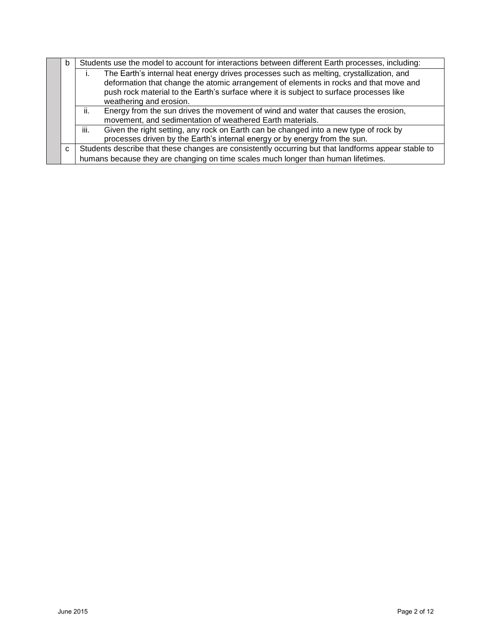|                                                                                           | b                                                                          |                                                                                                     | Students use the model to account for interactions between different Earth processes, including:                                                                                 |  |  |
|-------------------------------------------------------------------------------------------|----------------------------------------------------------------------------|-----------------------------------------------------------------------------------------------------|----------------------------------------------------------------------------------------------------------------------------------------------------------------------------------|--|--|
|                                                                                           |                                                                            | The Earth's internal heat energy drives processes such as melting, crystallization, and             |                                                                                                                                                                                  |  |  |
|                                                                                           |                                                                            |                                                                                                     | deformation that change the atomic arrangement of elements in rocks and that move and<br>push rock material to the Earth's surface where it is subject to surface processes like |  |  |
|                                                                                           | weathering and erosion.                                                    |                                                                                                     |                                                                                                                                                                                  |  |  |
| Energy from the sun drives the movement of wind and water that causes the erosion,<br>ii. |                                                                            |                                                                                                     |                                                                                                                                                                                  |  |  |
| movement, and sedimentation of weathered Earth materials.                                 |                                                                            |                                                                                                     |                                                                                                                                                                                  |  |  |
|                                                                                           |                                                                            | iii.<br>Given the right setting, any rock on Earth can be changed into a new type of rock by        |                                                                                                                                                                                  |  |  |
|                                                                                           | processes driven by the Earth's internal energy or by energy from the sun. |                                                                                                     |                                                                                                                                                                                  |  |  |
|                                                                                           | C.                                                                         | Students describe that these changes are consistently occurring but that landforms appear stable to |                                                                                                                                                                                  |  |  |
|                                                                                           |                                                                            | humans because they are changing on time scales much longer than human lifetimes.                   |                                                                                                                                                                                  |  |  |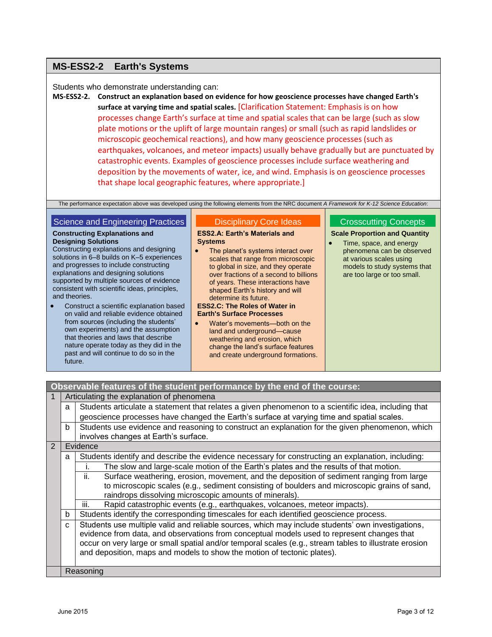# **MS-ESS2-2 Earth's Systems**

## Students who demonstrate understanding can:

**MS-ESS2-2. Construct an explanation based on evidence for how geoscience processes have changed Earth's surface at varying time and spatial scales.** [Clarification Statement: Emphasis is on how processes change Earth's surface at time and spatial scales that can be large (such as slow plate motions or the uplift of large mountain ranges) or small (such as rapid landslides or microscopic geochemical reactions), and how many geoscience processes (such as earthquakes, volcanoes, and meteor impacts) usually behave gradually but are punctuated by catastrophic events. Examples of geoscience processes include surface weathering and deposition by the movements of water, ice, and wind. Emphasis is on geoscience processes that shape local geographic features, where appropriate.]

The performance expectation above was developed using the following elements from the NRC document *A Framework for K-12 Science Education*:

## Science and Engineering Practices

# **Constructing Explanations and**

## **Designing Solutions**

Constructing explanations and designing solutions in 6–8 builds on K–5 experiences and progresses to include constructing explanations and designing solutions supported by multiple sources of evidence consistent with scientific ideas, principles, and theories.

 Construct a scientific explanation based on valid and reliable evidence obtained from sources (including the students' own experiments) and the assumption that theories and laws that describe nature operate today as they did in the past and will continue to do so in the future.

# Disciplinary Core Ideas

#### **ESS2.A: Earth's Materials and Systems**

• The planet's systems interact over scales that range from microscopic to global in size, and they operate over fractions of a second to billions of years. These interactions have shaped Earth's history and will determine its future.

#### **ESS2.C: The Roles of Water in Earth's Surface Processes**

 Water's movements—both on the land and underground—cause weathering and erosion, which change the land's surface features and create underground formations.

## Crosscutting Concepts

#### **Scale Proportion and Quantity**

• Time, space, and energy phenomena can be observed at various scales using models to study systems that are too large or too small.

# **Observable features of the student performance by the end of the course:**

|                |                                                                                                        | Articulating the explanation of phenomena                                                              |  |  |
|----------------|--------------------------------------------------------------------------------------------------------|--------------------------------------------------------------------------------------------------------|--|--|
|                | a                                                                                                      | Students articulate a statement that relates a given phenomenon to a scientific idea, including that   |  |  |
|                |                                                                                                        | geoscience processes have changed the Earth's surface at varying time and spatial scales.              |  |  |
|                | b                                                                                                      | Students use evidence and reasoning to construct an explanation for the given phenomenon, which        |  |  |
|                |                                                                                                        | involves changes at Earth's surface.                                                                   |  |  |
| $\overline{2}$ |                                                                                                        | Evidence                                                                                               |  |  |
|                | a                                                                                                      | Students identify and describe the evidence necessary for constructing an explanation, including:      |  |  |
|                |                                                                                                        | The slow and large-scale motion of the Earth's plates and the results of that motion.                  |  |  |
|                | Surface weathering, erosion, movement, and the deposition of sediment ranging from large<br>ii.        |                                                                                                        |  |  |
|                | to microscopic scales (e.g., sediment consisting of boulders and microscopic grains of sand,           |                                                                                                        |  |  |
|                |                                                                                                        | raindrops dissolving microscopic amounts of minerals).                                                 |  |  |
|                |                                                                                                        | Rapid catastrophic events (e.g., earthquakes, volcanoes, meteor impacts).<br>Ш.                        |  |  |
|                | Students identify the corresponding timescales for each identified geoscience process.<br>b            |                                                                                                        |  |  |
|                | Students use multiple valid and reliable sources, which may include students' own investigations,<br>C |                                                                                                        |  |  |
|                | evidence from data, and observations from conceptual models used to represent changes that             |                                                                                                        |  |  |
|                |                                                                                                        | occur on very large or small spatial and/or temporal scales (e.g., stream tables to illustrate erosion |  |  |
|                |                                                                                                        | and deposition, maps and models to show the motion of tectonic plates).                                |  |  |
|                |                                                                                                        |                                                                                                        |  |  |
|                | Reasoning                                                                                              |                                                                                                        |  |  |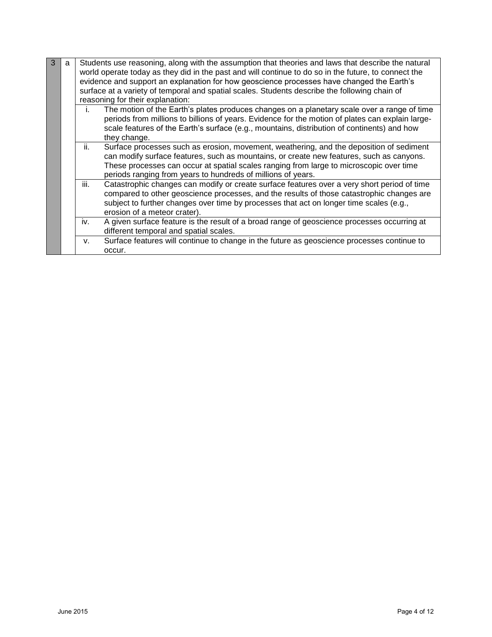| 3 | a |      | Students use reasoning, along with the assumption that theories and laws that describe the natural<br>world operate today as they did in the past and will continue to do so in the future, to connect the<br>evidence and support an explanation for how geoscience processes have changed the Earth's<br>surface at a variety of temporal and spatial scales. Students describe the following chain of<br>reasoning for their explanation: |
|---|---|------|----------------------------------------------------------------------------------------------------------------------------------------------------------------------------------------------------------------------------------------------------------------------------------------------------------------------------------------------------------------------------------------------------------------------------------------------|
|   |   | Τ.   | The motion of the Earth's plates produces changes on a planetary scale over a range of time<br>periods from millions to billions of years. Evidence for the motion of plates can explain large-<br>scale features of the Earth's surface (e.g., mountains, distribution of continents) and how<br>they change.                                                                                                                               |
|   |   | ii.  | Surface processes such as erosion, movement, weathering, and the deposition of sediment<br>can modify surface features, such as mountains, or create new features, such as canyons.<br>These processes can occur at spatial scales ranging from large to microscopic over time<br>periods ranging from years to hundreds of millions of years.                                                                                               |
|   |   | iii. | Catastrophic changes can modify or create surface features over a very short period of time<br>compared to other geoscience processes, and the results of those catastrophic changes are<br>subject to further changes over time by processes that act on longer time scales (e.g.,<br>erosion of a meteor crater).                                                                                                                          |
|   |   | iv.  | A given surface feature is the result of a broad range of geoscience processes occurring at<br>different temporal and spatial scales.                                                                                                                                                                                                                                                                                                        |
|   |   | v.   | Surface features will continue to change in the future as geoscience processes continue to<br>occur.                                                                                                                                                                                                                                                                                                                                         |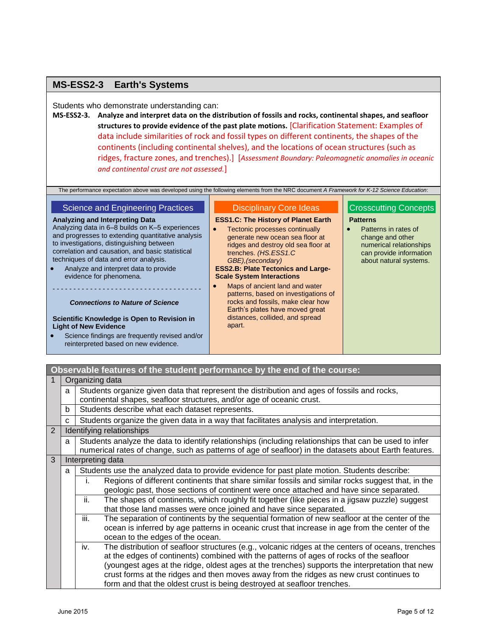# **MS-ESS2-3 Earth's Systems**

## Students who demonstrate understanding can:

**MS-ESS2-3. Analyze and interpret data on the distribution of fossils and rocks, continental shapes, and seafloor structures to provide evidence of the past plate motions.** [Clarification Statement: Examples of data include similarities of rock and fossil types on different continents, the shapes of the continents (including continental shelves), and the locations of ocean structures (such as ridges, fracture zones, and trenches).] [*Assessment Boundary: Paleomagnetic anomalies in oceanic and continental crust are not assessed.*]

The performance expectation above was developed using the following elements from the NRC document *A Framework for K-12 Science Education*:

## Science and Engineering Practices

#### **Analyzing and Interpreting Data**

Analyzing data in 6–8 builds on K–5 experiences and progresses to extending quantitative analysis to investigations, distinguishing between correlation and causation, and basic statistical techniques of data and error analysis.

• Analyze and interpret data to provide evidence for phenomena.

# - - - - - - - - - - - - - - - - - - - - - - - - - - - - - - - - - - - - *Connections to Nature of Science*

#### **Scientific Knowledge is Open to Revision in Light of New Evidence**

 Science findings are frequently revised and/or reinterpreted based on new evidence.

# Disciplinary Core Ideas

#### **ESS1.C: The History of Planet Earth**

• Tectonic processes continually generate new ocean sea floor at ridges and destroy old sea floor at trenches. *(HS.ESS1.C GBE),(secondary)* **ESS2.B: Plate Tectonics and Large-**

# **Scale System Interactions** • Maps of ancient land and water

patterns, based on investigations of rocks and fossils, make clear how Earth's plates have moved great distances, collided, and spread apart.

## Crosscutting Concepts

#### **Patterns**

 Patterns in rates of change and other numerical relationships can provide information about natural systems.

# **Observable features of the student performance by the end of the course:**

| 1                                                                                                | Organizing data                                                                                   |                                                                                                          |  |
|--------------------------------------------------------------------------------------------------|---------------------------------------------------------------------------------------------------|----------------------------------------------------------------------------------------------------------|--|
| Students organize given data that represent the distribution and ages of fossils and rocks,<br>a |                                                                                                   |                                                                                                          |  |
| continental shapes, seafloor structures, and/or age of oceanic crust.                            |                                                                                                   |                                                                                                          |  |
| Students describe what each dataset represents.<br>b                                             |                                                                                                   |                                                                                                          |  |
|                                                                                                  | C                                                                                                 | Students organize the given data in a way that facilitates analysis and interpretation.                  |  |
| $\overline{2}$                                                                                   |                                                                                                   | Identifying relationships                                                                                |  |
|                                                                                                  | a                                                                                                 | Students analyze the data to identify relationships (including relationships that can be used to infer   |  |
|                                                                                                  |                                                                                                   | numerical rates of change, such as patterns of age of seafloor) in the datasets about Earth features.    |  |
| 3                                                                                                | Interpreting data                                                                                 |                                                                                                          |  |
|                                                                                                  | Students use the analyzed data to provide evidence for past plate motion. Students describe:<br>a |                                                                                                          |  |
|                                                                                                  |                                                                                                   | Regions of different continents that share similar fossils and similar rocks suggest that, in the        |  |
|                                                                                                  |                                                                                                   | geologic past, those sections of continent were once attached and have since separated.                  |  |
| ii.                                                                                              |                                                                                                   | The shapes of continents, which roughly fit together (like pieces in a jigsaw puzzle) suggest            |  |
| that those land masses were once joined and have since separated.                                |                                                                                                   |                                                                                                          |  |
|                                                                                                  |                                                                                                   | iii.<br>The separation of continents by the sequential formation of new seafloor at the center of the    |  |
|                                                                                                  |                                                                                                   | ocean is inferred by age patterns in oceanic crust that increase in age from the center of the           |  |
|                                                                                                  |                                                                                                   | ocean to the edges of the ocean.                                                                         |  |
|                                                                                                  |                                                                                                   | The distribution of seafloor structures (e.g., volcanic ridges at the centers of oceans, trenches<br>iv. |  |
|                                                                                                  |                                                                                                   | at the edges of continents) combined with the patterns of ages of rocks of the seafloor                  |  |
|                                                                                                  |                                                                                                   | (youngest ages at the ridge, oldest ages at the trenches) supports the interpretation that new           |  |
|                                                                                                  |                                                                                                   | crust forms at the ridges and then moves away from the ridges as new crust continues to                  |  |
|                                                                                                  |                                                                                                   | form and that the oldest crust is being destroyed at seafloor trenches.                                  |  |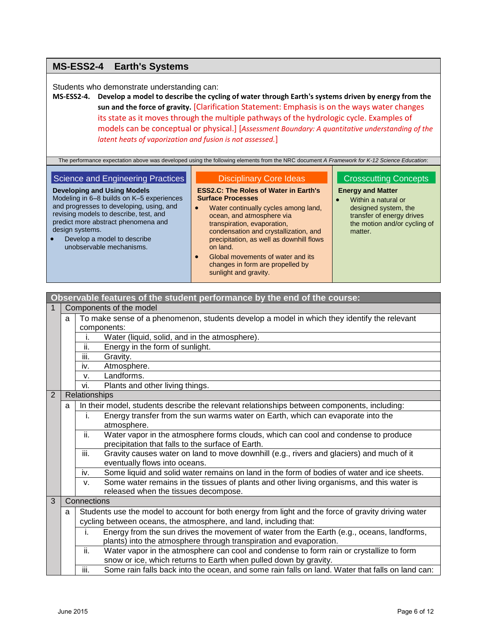# **MS-ESS2-4 Earth's Systems**

Students who demonstrate understanding can:

**MS-ESS2-4. Develop a model to describe the cycling of water through Earth's systems driven by energy from the sun and the force of gravity.** [Clarification Statement: Emphasis is on the ways water changes its state as it moves through the multiple pathways of the hydrologic cycle. Examples of models can be conceptual or physical.] [*Assessment Boundary: A quantitative understanding of the latent heats of vaporization and fusion is not assessed.*]

The performance expectation above was developed using the following elements from the NRC document *A Framework for K-12 Science Education*:

## Science and Engineering Practices

#### Disciplinary Core Ideas

**ESS2.C: The Roles of Water in Earth's Surface Processes**

- **Developing and Using Models** Modeling in 6–8 builds on K–5 experiences and progresses to developing, using, and revising models to describe, test, and predict more abstract phenomena and design systems.
- Develop a model to describe unobservable mechanisms.
- Water continually cycles among land, ocean, and atmosphere via transpiration, evaporation, condensation and crystallization, and precipitation, as well as downhill flows on land.
- Global movements of water and its changes in form are propelled by sunlight and gravity.

**Observable features of the student performance by the end of the course:**

## Crosscutting Concepts

### **Energy and Matter**

 Within a natural or designed system, the transfer of energy drives the motion and/or cycling of matter.

| $\mathbf{1}$<br>Components of the model<br>To make sense of a phenomenon, students develop a model in which they identify the relevant<br>a<br>components:<br>Water (liquid, solid, and in the atmosphere).<br>i.<br>ii.<br>Energy in the form of sunlight.<br>iii.<br>Gravity.<br>Atmosphere.<br>iv.<br>Landforms.<br>v.<br>vi.<br>Plants and other living things.<br>2<br>Relationships<br>In their model, students describe the relevant relationships between components, including:<br>a<br>i.<br>Energy transfer from the sun warms water on Earth, which can evaporate into the<br>atmosphere.<br>ii.<br>Water vapor in the atmosphere forms clouds, which can cool and condense to produce<br>precipitation that falls to the surface of Earth.<br>iii.<br>Gravity causes water on land to move downhill (e.g., rivers and glaciers) and much of it<br>eventually flows into oceans.<br>Some liquid and solid water remains on land in the form of bodies of water and ice sheets.<br>iv.<br>Some water remains in the tissues of plants and other living organisms, and this water is<br>V.<br>released when the tissues decompose.<br>$\overline{3}$<br>Connections<br>Students use the model to account for both energy from light and the force of gravity driving water<br>a<br>cycling between oceans, the atmosphere, and land, including that:<br>Energy from the sun drives the movement of water from the Earth (e.g., oceans, landforms,<br>i.<br>plants) into the atmosphere through transpiration and evaporation.<br>ii.<br>Water vapor in the atmosphere can cool and condense to form rain or crystallize to form<br>snow or ice, which returns to Earth when pulled down by gravity.<br>iii.<br>Some rain falls back into the ocean, and some rain falls on land. Water that falls on land can: |  |  | $\frac{1}{2}$ , $\frac{1}{2}$ , $\frac{1}{2}$ , $\frac{1}{2}$ , $\frac{1}{2}$ , $\frac{1}{2}$ , $\frac{1}{2}$ , $\frac{1}{2}$ , $\frac{1}{2}$ , $\frac{1}{2}$ , $\frac{1}{2}$ , $\frac{1}{2}$ , $\frac{1}{2}$ , $\frac{1}{2}$ , $\frac{1}{2}$ , $\frac{1}{2}$ , $\frac{1}{2}$ , $\frac{1}{2}$ , $\frac{1$ |  |
|--------------------------------------------------------------------------------------------------------------------------------------------------------------------------------------------------------------------------------------------------------------------------------------------------------------------------------------------------------------------------------------------------------------------------------------------------------------------------------------------------------------------------------------------------------------------------------------------------------------------------------------------------------------------------------------------------------------------------------------------------------------------------------------------------------------------------------------------------------------------------------------------------------------------------------------------------------------------------------------------------------------------------------------------------------------------------------------------------------------------------------------------------------------------------------------------------------------------------------------------------------------------------------------------------------------------------------------------------------------------------------------------------------------------------------------------------------------------------------------------------------------------------------------------------------------------------------------------------------------------------------------------------------------------------------------------------------------------------------------------------------------------------------------------------------------------------|--|--|-----------------------------------------------------------------------------------------------------------------------------------------------------------------------------------------------------------------------------------------------------------------------------------------------------------|--|
|                                                                                                                                                                                                                                                                                                                                                                                                                                                                                                                                                                                                                                                                                                                                                                                                                                                                                                                                                                                                                                                                                                                                                                                                                                                                                                                                                                                                                                                                                                                                                                                                                                                                                                                                                                                                                          |  |  |                                                                                                                                                                                                                                                                                                           |  |
|                                                                                                                                                                                                                                                                                                                                                                                                                                                                                                                                                                                                                                                                                                                                                                                                                                                                                                                                                                                                                                                                                                                                                                                                                                                                                                                                                                                                                                                                                                                                                                                                                                                                                                                                                                                                                          |  |  |                                                                                                                                                                                                                                                                                                           |  |
|                                                                                                                                                                                                                                                                                                                                                                                                                                                                                                                                                                                                                                                                                                                                                                                                                                                                                                                                                                                                                                                                                                                                                                                                                                                                                                                                                                                                                                                                                                                                                                                                                                                                                                                                                                                                                          |  |  |                                                                                                                                                                                                                                                                                                           |  |
|                                                                                                                                                                                                                                                                                                                                                                                                                                                                                                                                                                                                                                                                                                                                                                                                                                                                                                                                                                                                                                                                                                                                                                                                                                                                                                                                                                                                                                                                                                                                                                                                                                                                                                                                                                                                                          |  |  |                                                                                                                                                                                                                                                                                                           |  |
|                                                                                                                                                                                                                                                                                                                                                                                                                                                                                                                                                                                                                                                                                                                                                                                                                                                                                                                                                                                                                                                                                                                                                                                                                                                                                                                                                                                                                                                                                                                                                                                                                                                                                                                                                                                                                          |  |  |                                                                                                                                                                                                                                                                                                           |  |
|                                                                                                                                                                                                                                                                                                                                                                                                                                                                                                                                                                                                                                                                                                                                                                                                                                                                                                                                                                                                                                                                                                                                                                                                                                                                                                                                                                                                                                                                                                                                                                                                                                                                                                                                                                                                                          |  |  |                                                                                                                                                                                                                                                                                                           |  |
|                                                                                                                                                                                                                                                                                                                                                                                                                                                                                                                                                                                                                                                                                                                                                                                                                                                                                                                                                                                                                                                                                                                                                                                                                                                                                                                                                                                                                                                                                                                                                                                                                                                                                                                                                                                                                          |  |  |                                                                                                                                                                                                                                                                                                           |  |
|                                                                                                                                                                                                                                                                                                                                                                                                                                                                                                                                                                                                                                                                                                                                                                                                                                                                                                                                                                                                                                                                                                                                                                                                                                                                                                                                                                                                                                                                                                                                                                                                                                                                                                                                                                                                                          |  |  |                                                                                                                                                                                                                                                                                                           |  |
|                                                                                                                                                                                                                                                                                                                                                                                                                                                                                                                                                                                                                                                                                                                                                                                                                                                                                                                                                                                                                                                                                                                                                                                                                                                                                                                                                                                                                                                                                                                                                                                                                                                                                                                                                                                                                          |  |  |                                                                                                                                                                                                                                                                                                           |  |
|                                                                                                                                                                                                                                                                                                                                                                                                                                                                                                                                                                                                                                                                                                                                                                                                                                                                                                                                                                                                                                                                                                                                                                                                                                                                                                                                                                                                                                                                                                                                                                                                                                                                                                                                                                                                                          |  |  |                                                                                                                                                                                                                                                                                                           |  |
|                                                                                                                                                                                                                                                                                                                                                                                                                                                                                                                                                                                                                                                                                                                                                                                                                                                                                                                                                                                                                                                                                                                                                                                                                                                                                                                                                                                                                                                                                                                                                                                                                                                                                                                                                                                                                          |  |  |                                                                                                                                                                                                                                                                                                           |  |
|                                                                                                                                                                                                                                                                                                                                                                                                                                                                                                                                                                                                                                                                                                                                                                                                                                                                                                                                                                                                                                                                                                                                                                                                                                                                                                                                                                                                                                                                                                                                                                                                                                                                                                                                                                                                                          |  |  |                                                                                                                                                                                                                                                                                                           |  |
|                                                                                                                                                                                                                                                                                                                                                                                                                                                                                                                                                                                                                                                                                                                                                                                                                                                                                                                                                                                                                                                                                                                                                                                                                                                                                                                                                                                                                                                                                                                                                                                                                                                                                                                                                                                                                          |  |  |                                                                                                                                                                                                                                                                                                           |  |
|                                                                                                                                                                                                                                                                                                                                                                                                                                                                                                                                                                                                                                                                                                                                                                                                                                                                                                                                                                                                                                                                                                                                                                                                                                                                                                                                                                                                                                                                                                                                                                                                                                                                                                                                                                                                                          |  |  |                                                                                                                                                                                                                                                                                                           |  |
|                                                                                                                                                                                                                                                                                                                                                                                                                                                                                                                                                                                                                                                                                                                                                                                                                                                                                                                                                                                                                                                                                                                                                                                                                                                                                                                                                                                                                                                                                                                                                                                                                                                                                                                                                                                                                          |  |  |                                                                                                                                                                                                                                                                                                           |  |
|                                                                                                                                                                                                                                                                                                                                                                                                                                                                                                                                                                                                                                                                                                                                                                                                                                                                                                                                                                                                                                                                                                                                                                                                                                                                                                                                                                                                                                                                                                                                                                                                                                                                                                                                                                                                                          |  |  |                                                                                                                                                                                                                                                                                                           |  |
|                                                                                                                                                                                                                                                                                                                                                                                                                                                                                                                                                                                                                                                                                                                                                                                                                                                                                                                                                                                                                                                                                                                                                                                                                                                                                                                                                                                                                                                                                                                                                                                                                                                                                                                                                                                                                          |  |  |                                                                                                                                                                                                                                                                                                           |  |
|                                                                                                                                                                                                                                                                                                                                                                                                                                                                                                                                                                                                                                                                                                                                                                                                                                                                                                                                                                                                                                                                                                                                                                                                                                                                                                                                                                                                                                                                                                                                                                                                                                                                                                                                                                                                                          |  |  |                                                                                                                                                                                                                                                                                                           |  |
|                                                                                                                                                                                                                                                                                                                                                                                                                                                                                                                                                                                                                                                                                                                                                                                                                                                                                                                                                                                                                                                                                                                                                                                                                                                                                                                                                                                                                                                                                                                                                                                                                                                                                                                                                                                                                          |  |  |                                                                                                                                                                                                                                                                                                           |  |
|                                                                                                                                                                                                                                                                                                                                                                                                                                                                                                                                                                                                                                                                                                                                                                                                                                                                                                                                                                                                                                                                                                                                                                                                                                                                                                                                                                                                                                                                                                                                                                                                                                                                                                                                                                                                                          |  |  |                                                                                                                                                                                                                                                                                                           |  |
|                                                                                                                                                                                                                                                                                                                                                                                                                                                                                                                                                                                                                                                                                                                                                                                                                                                                                                                                                                                                                                                                                                                                                                                                                                                                                                                                                                                                                                                                                                                                                                                                                                                                                                                                                                                                                          |  |  |                                                                                                                                                                                                                                                                                                           |  |
|                                                                                                                                                                                                                                                                                                                                                                                                                                                                                                                                                                                                                                                                                                                                                                                                                                                                                                                                                                                                                                                                                                                                                                                                                                                                                                                                                                                                                                                                                                                                                                                                                                                                                                                                                                                                                          |  |  |                                                                                                                                                                                                                                                                                                           |  |
|                                                                                                                                                                                                                                                                                                                                                                                                                                                                                                                                                                                                                                                                                                                                                                                                                                                                                                                                                                                                                                                                                                                                                                                                                                                                                                                                                                                                                                                                                                                                                                                                                                                                                                                                                                                                                          |  |  |                                                                                                                                                                                                                                                                                                           |  |
|                                                                                                                                                                                                                                                                                                                                                                                                                                                                                                                                                                                                                                                                                                                                                                                                                                                                                                                                                                                                                                                                                                                                                                                                                                                                                                                                                                                                                                                                                                                                                                                                                                                                                                                                                                                                                          |  |  |                                                                                                                                                                                                                                                                                                           |  |
|                                                                                                                                                                                                                                                                                                                                                                                                                                                                                                                                                                                                                                                                                                                                                                                                                                                                                                                                                                                                                                                                                                                                                                                                                                                                                                                                                                                                                                                                                                                                                                                                                                                                                                                                                                                                                          |  |  |                                                                                                                                                                                                                                                                                                           |  |
|                                                                                                                                                                                                                                                                                                                                                                                                                                                                                                                                                                                                                                                                                                                                                                                                                                                                                                                                                                                                                                                                                                                                                                                                                                                                                                                                                                                                                                                                                                                                                                                                                                                                                                                                                                                                                          |  |  |                                                                                                                                                                                                                                                                                                           |  |
|                                                                                                                                                                                                                                                                                                                                                                                                                                                                                                                                                                                                                                                                                                                                                                                                                                                                                                                                                                                                                                                                                                                                                                                                                                                                                                                                                                                                                                                                                                                                                                                                                                                                                                                                                                                                                          |  |  |                                                                                                                                                                                                                                                                                                           |  |
|                                                                                                                                                                                                                                                                                                                                                                                                                                                                                                                                                                                                                                                                                                                                                                                                                                                                                                                                                                                                                                                                                                                                                                                                                                                                                                                                                                                                                                                                                                                                                                                                                                                                                                                                                                                                                          |  |  |                                                                                                                                                                                                                                                                                                           |  |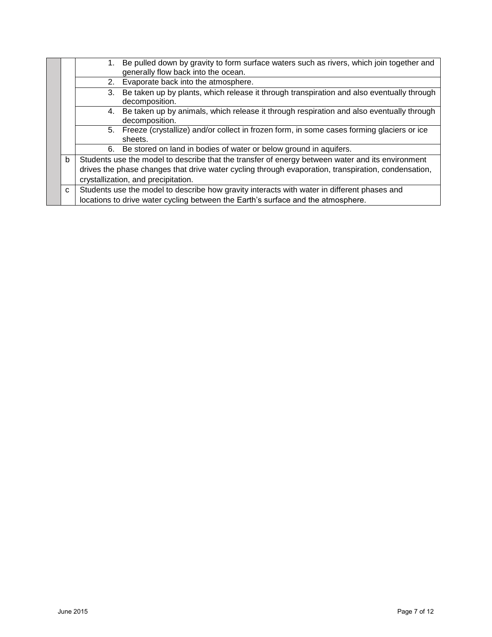|         |                                                                                                                  | Be pulled down by gravity to form surface waters such as rivers, which join together and<br>1.                    |  |
|---------|------------------------------------------------------------------------------------------------------------------|-------------------------------------------------------------------------------------------------------------------|--|
|         |                                                                                                                  | generally flow back into the ocean.                                                                               |  |
|         | Evaporate back into the atmosphere.<br>2.                                                                        |                                                                                                                   |  |
|         |                                                                                                                  | Be taken up by plants, which release it through transpiration and also eventually through<br>3.<br>decomposition. |  |
|         | Be taken up by animals, which release it through respiration and also eventually through<br>4.<br>decomposition. |                                                                                                                   |  |
| sheets. |                                                                                                                  | 5. Freeze (crystallize) and/or collect in frozen form, in some cases forming glaciers or ice                      |  |
|         |                                                                                                                  | Be stored on land in bodies of water or below ground in aquifers.<br>6.                                           |  |
|         | b                                                                                                                | Students use the model to describe that the transfer of energy between water and its environment                  |  |
|         |                                                                                                                  | drives the phase changes that drive water cycling through evaporation, transpiration, condensation,               |  |
|         | crystallization, and precipitation.                                                                              |                                                                                                                   |  |
|         | C                                                                                                                | Students use the model to describe how gravity interacts with water in different phases and                       |  |
|         |                                                                                                                  | locations to drive water cycling between the Earth's surface and the atmosphere.                                  |  |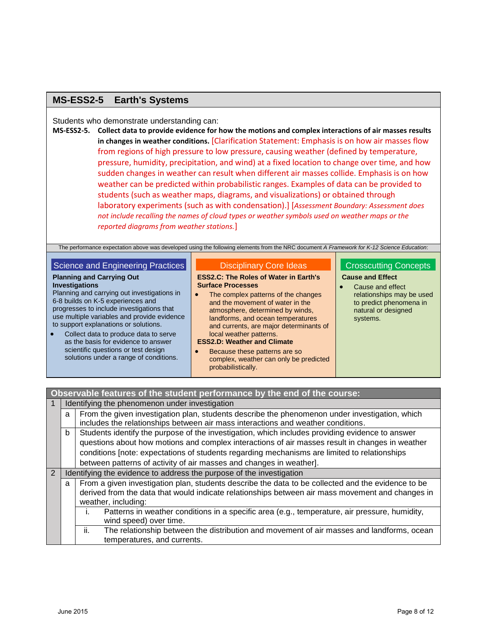# **MS-ESS2-5 Earth's Systems**

Students who demonstrate understanding can:

**MS-ESS2-5. Collect data to provide evidence for how the motions and complex interactions of air masses results in changes in weather conditions.** [Clarification Statement: Emphasis is on how air masses flow from regions of high pressure to low pressure, causing weather (defined by temperature, pressure, humidity, precipitation, and wind) at a fixed location to change over time, and how sudden changes in weather can result when different air masses collide. Emphasis is on how weather can be predicted within probabilistic ranges. Examples of data can be provided to students (such as weather maps, diagrams, and visualizations) or obtained through laboratory experiments (such as with condensation).] [*Assessment Boundary: Assessment does not include recalling the names of cloud types or weather symbols used on weather maps or the reported diagrams from weather stations.*]

The performance expectation above was developed using the following elements from the NRC document *A Framework for K-12 Science Education*:

## Science and Engineering Practices

# **Planning and Carrying Out**

**Investigations** Planning and carrying out investigations in 6-8 builds on K-5 experiences and progresses to include investigations that use multiple variables and provide evidence to support explanations or solutions.

 Collect data to produce data to serve as the basis for evidence to answer scientific questions or test design solutions under a range of conditions.

#### Disciplinary Core Ideas

#### **ESS2.C: The Roles of Water in Earth's Surface Processes**

• The complex patterns of the changes and the movement of water in the atmosphere, determined by winds, landforms, and ocean temperatures and currents, are major determinants of local weather patterns.

#### **ESS2.D: Weather and Climate**

 Because these patterns are so complex, weather can only be predicted probabilistically.

## Crosscutting Concepts **Cause and Effect**

 Cause and effect relationships may be used to predict phenomena in natural or designed systems.

| Observable features of the student performance by the end of the course: |  |  |  |
|--------------------------------------------------------------------------|--|--|--|
| Identifying the phenomenon under investigation                           |  |  |  |

|                | a                                                                                                                                                                                                                                                                                                                                                                              | From the given investigation plan, students describe the phenomenon under investigation, which<br>includes the relationships between air mass interactions and weather conditions.                                            |  |  |
|----------------|--------------------------------------------------------------------------------------------------------------------------------------------------------------------------------------------------------------------------------------------------------------------------------------------------------------------------------------------------------------------------------|-------------------------------------------------------------------------------------------------------------------------------------------------------------------------------------------------------------------------------|--|--|
|                | Students identify the purpose of the investigation, which includes providing evidence to answer<br>b<br>questions about how motions and complex interactions of air masses result in changes in weather<br>conditions [note: expectations of students regarding mechanisms are limited to relationships<br>between patterns of activity of air masses and changes in weather]. |                                                                                                                                                                                                                               |  |  |
| $\overline{2}$ |                                                                                                                                                                                                                                                                                                                                                                                | Identifying the evidence to address the purpose of the investigation                                                                                                                                                          |  |  |
|                | a                                                                                                                                                                                                                                                                                                                                                                              | From a given investigation plan, students describe the data to be collected and the evidence to be<br>derived from the data that would indicate relationships between air mass movement and changes in<br>weather, including: |  |  |
|                |                                                                                                                                                                                                                                                                                                                                                                                | Patterns in weather conditions in a specific area (e.g., temperature, air pressure, humidity,<br>wind speed) over time.                                                                                                       |  |  |
|                |                                                                                                                                                                                                                                                                                                                                                                                | The relationship between the distribution and movement of air masses and landforms, ocean<br>ii.<br>temperatures, and currents.                                                                                               |  |  |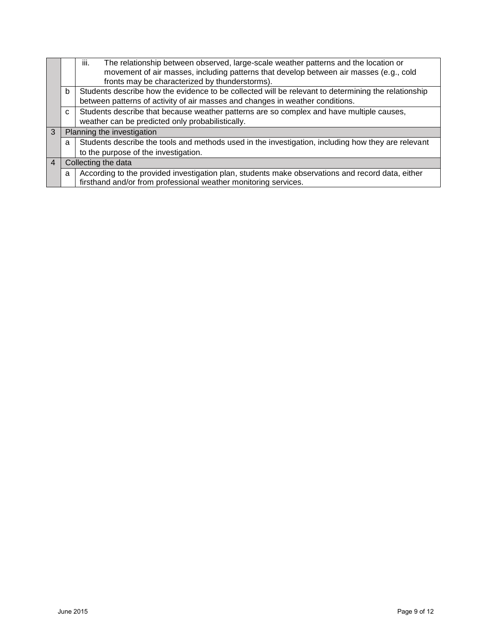|                                                  |                                                                                                          | iii.<br>The relationship between observed, large-scale weather patterns and the location or        |  |  |
|--------------------------------------------------|----------------------------------------------------------------------------------------------------------|----------------------------------------------------------------------------------------------------|--|--|
|                                                  |                                                                                                          | movement of air masses, including patterns that develop between air masses (e.g., cold             |  |  |
|                                                  |                                                                                                          | fronts may be characterized by thunderstorms).                                                     |  |  |
|                                                  | Students describe how the evidence to be collected will be relevant to determining the relationship<br>b |                                                                                                    |  |  |
|                                                  |                                                                                                          | between patterns of activity of air masses and changes in weather conditions.                      |  |  |
|                                                  | C                                                                                                        | Students describe that because weather patterns are so complex and have multiple causes,           |  |  |
| weather can be predicted only probabilistically. |                                                                                                          |                                                                                                    |  |  |
| 3                                                |                                                                                                          | Planning the investigation                                                                         |  |  |
|                                                  | a                                                                                                        | Students describe the tools and methods used in the investigation, including how they are relevant |  |  |
|                                                  |                                                                                                          | to the purpose of the investigation.                                                               |  |  |
| $\overline{4}$                                   |                                                                                                          | Collecting the data                                                                                |  |  |
|                                                  | a                                                                                                        | According to the provided investigation plan, students make observations and record data, either   |  |  |
|                                                  |                                                                                                          | firsthand and/or from professional weather monitoring services.                                    |  |  |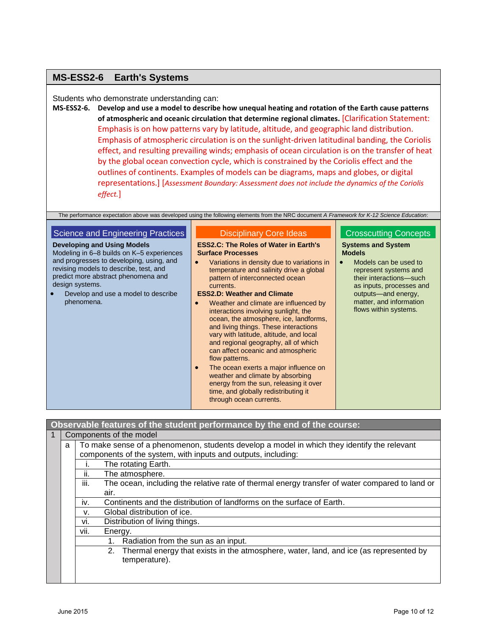# **MS-ESS2-6 Earth's Systems**

Students who demonstrate understanding can:

**MS-ESS2-6. Develop and use a model to describe how unequal heating and rotation of the Earth cause patterns of atmospheric and oceanic circulation that determine regional climates.** [Clarification Statement: Emphasis is on how patterns vary by latitude, altitude, and geographic land distribution. Emphasis of atmospheric circulation is on the sunlight-driven latitudinal banding, the Coriolis effect, and resulting prevailing winds; emphasis of ocean circulation is on the transfer of heat by the global ocean convection cycle, which is constrained by the Coriolis effect and the outlines of continents. Examples of models can be diagrams, maps and globes, or digital representations.] [*Assessment Boundary: Assessment does not include the dynamics of the Coriolis effect.*]

The performance expectation above was developed using the following elements from the NRC document *A Framework for K-12 Science Education*:

| Science and Engineering Practices                                                                                                                                                                                                                                                    | <b>Disciplinary Core Ideas</b>                                                                                                                                                                                                                                                                                                                                                                                                                                                                                                                                                                                                                                                                                                                                                                          | <b>Crosscutting Concepts</b>                                                                                                                                                                                                   |
|--------------------------------------------------------------------------------------------------------------------------------------------------------------------------------------------------------------------------------------------------------------------------------------|---------------------------------------------------------------------------------------------------------------------------------------------------------------------------------------------------------------------------------------------------------------------------------------------------------------------------------------------------------------------------------------------------------------------------------------------------------------------------------------------------------------------------------------------------------------------------------------------------------------------------------------------------------------------------------------------------------------------------------------------------------------------------------------------------------|--------------------------------------------------------------------------------------------------------------------------------------------------------------------------------------------------------------------------------|
| <b>Developing and Using Models</b><br>Modeling in 6–8 builds on K–5 experiences<br>and progresses to developing, using, and<br>revising models to describe, test, and<br>predict more abstract phenomena and<br>design systems.<br>Develop and use a model to describe<br>phenomena. | <b>ESS2.C: The Roles of Water in Earth's</b><br><b>Surface Processes</b><br>Variations in density due to variations in<br>$\bullet$<br>temperature and salinity drive a global<br>pattern of interconnected ocean<br>currents.<br><b>ESS2.D: Weather and Climate</b><br>Weather and climate are influenced by<br>$\bullet$<br>interactions involving sunlight, the<br>ocean, the atmosphere, ice, landforms,<br>and living things. These interactions<br>vary with latitude, altitude, and local<br>and regional geography, all of which<br>can affect oceanic and atmospheric<br>flow patterns.<br>The ocean exerts a major influence on<br>$\bullet$<br>weather and climate by absorbing<br>energy from the sun, releasing it over<br>time, and globally redistributing it<br>through ocean currents. | <b>Systems and System</b><br><b>Models</b><br>Models can be used to<br>represent systems and<br>their interactions-such<br>as inputs, processes and<br>outputs-and energy,<br>matter, and information<br>flows within systems. |

**Observable features of the student performance by the end of the course:**

| $\mathbf{1}$ | Components of the model                                                                          |      |                                                                                                |  |
|--------------|--------------------------------------------------------------------------------------------------|------|------------------------------------------------------------------------------------------------|--|
|              | To make sense of a phenomenon, students develop a model in which they identify the relevant<br>a |      |                                                                                                |  |
|              |                                                                                                  |      | components of the system, with inputs and outputs, including:                                  |  |
|              | The rotating Earth.                                                                              |      |                                                                                                |  |
|              |                                                                                                  | ii.  | The atmosphere.                                                                                |  |
|              |                                                                                                  | iii. | The ocean, including the relative rate of thermal energy transfer of water compared to land or |  |
|              | air.                                                                                             |      |                                                                                                |  |
|              |                                                                                                  | İV.  | Continents and the distribution of landforms on the surface of Earth.                          |  |
|              |                                                                                                  | V.   | Global distribution of ice.                                                                    |  |
|              |                                                                                                  | vi.  | Distribution of living things.                                                                 |  |
|              |                                                                                                  | VII. | Energy.                                                                                        |  |
|              |                                                                                                  |      | Radiation from the sun as an input.<br>1.                                                      |  |
|              |                                                                                                  |      | Thermal energy that exists in the atmosphere, water, land, and ice (as represented by<br>2.    |  |
|              |                                                                                                  |      | temperature).                                                                                  |  |
|              |                                                                                                  |      |                                                                                                |  |
|              |                                                                                                  |      |                                                                                                |  |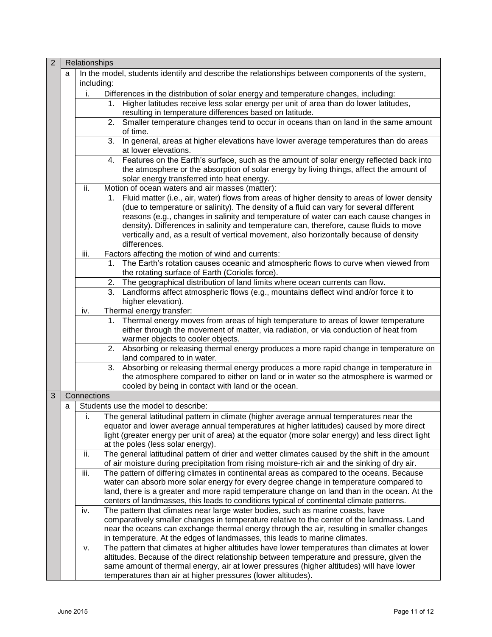| $\overline{2}$ |   | Relationships |    |                                                                                                  |
|----------------|---|---------------|----|--------------------------------------------------------------------------------------------------|
|                | a | including:    |    | In the model, students identify and describe the relationships between components of the system, |
|                |   | i.            |    | Differences in the distribution of solar energy and temperature changes, including:              |
|                |   |               |    | 1. Higher latitudes receive less solar energy per unit of area than do lower latitudes,          |
|                |   |               |    | resulting in temperature differences based on latitude.                                          |
|                |   |               |    | 2. Smaller temperature changes tend to occur in oceans than on land in the same amount           |
|                |   |               |    | of time.                                                                                         |
|                |   |               | 3. | In general, areas at higher elevations have lower average temperatures than do areas             |
|                |   |               |    | at lower elevations.                                                                             |
|                |   |               |    | 4. Features on the Earth's surface, such as the amount of solar energy reflected back into       |
|                |   |               |    | the atmosphere or the absorption of solar energy by living things, affect the amount of          |
|                |   |               |    | solar energy transferred into heat energy.                                                       |
|                |   | ii.           |    | Motion of ocean waters and air masses (matter):                                                  |
|                |   |               |    | 1. Fluid matter (i.e., air, water) flows from areas of higher density to areas of lower density  |
|                |   |               |    | (due to temperature or salinity). The density of a fluid can vary for several different          |
|                |   |               |    | reasons (e.g., changes in salinity and temperature of water can each cause changes in            |
|                |   |               |    | density). Differences in salinity and temperature can, therefore, cause fluids to move           |
|                |   |               |    | vertically and, as a result of vertical movement, also horizontally because of density           |
|                |   |               |    | differences.                                                                                     |
|                |   | iii.          |    | Factors affecting the motion of wind and currents:                                               |
|                |   |               | 1. | The Earth's rotation causes oceanic and atmospheric flows to curve when viewed from              |
|                |   |               |    | the rotating surface of Earth (Coriolis force).                                                  |
|                |   |               | 2. | The geographical distribution of land limits where ocean currents can flow.                      |
|                |   |               | 3. | Landforms affect atmospheric flows (e.g., mountains deflect wind and/or force it to              |
|                |   |               |    | higher elevation).                                                                               |
|                |   | iv.           |    | Thermal energy transfer:                                                                         |
|                |   |               | 1. | Thermal energy moves from areas of high temperature to areas of lower temperature                |
|                |   |               |    | either through the movement of matter, via radiation, or via conduction of heat from             |
|                |   |               |    | warmer objects to cooler objects.                                                                |
|                |   |               |    | 2. Absorbing or releasing thermal energy produces a more rapid change in temperature on          |
|                |   |               |    | land compared to in water.                                                                       |
|                |   |               | 3. | Absorbing or releasing thermal energy produces a more rapid change in temperature in             |
|                |   |               |    | the atmosphere compared to either on land or in water so the atmosphere is warmed or             |
|                |   |               |    | cooled by being in contact with land or the ocean.                                               |
| 3              |   | Connections   |    |                                                                                                  |
|                | а |               |    | Students use the model to describe:                                                              |
|                |   | i.            |    | The general latitudinal pattern in climate (higher average annual temperatures near the          |
|                |   |               |    | equator and lower average annual temperatures at higher latitudes) caused by more direct         |
|                |   |               |    | light (greater energy per unit of area) at the equator (more solar energy) and less direct light |
|                |   |               |    | at the poles (less solar energy).                                                                |
|                |   | ii.           |    | The general latitudinal pattern of drier and wetter climates caused by the shift in the amount   |
|                |   |               |    | of air moisture during precipitation from rising moisture-rich air and the sinking of dry air.   |
|                |   | iii.          |    | The pattern of differing climates in continental areas as compared to the oceans. Because        |
|                |   |               |    | water can absorb more solar energy for every degree change in temperature compared to            |
|                |   |               |    | land, there is a greater and more rapid temperature change on land than in the ocean. At the     |
|                |   |               |    | centers of landmasses, this leads to conditions typical of continental climate patterns.         |
|                |   | iv.           |    | The pattern that climates near large water bodies, such as marine coasts, have                   |
|                |   |               |    | comparatively smaller changes in temperature relative to the center of the landmass. Land        |
|                |   |               |    | near the oceans can exchange thermal energy through the air, resulting in smaller changes        |
|                |   |               |    | in temperature. At the edges of landmasses, this leads to marine climates.                       |
|                |   | v.            |    | The pattern that climates at higher altitudes have lower temperatures than climates at lower     |
|                |   |               |    | altitudes. Because of the direct relationship between temperature and pressure, given the        |
|                |   |               |    | same amount of thermal energy, air at lower pressures (higher altitudes) will have lower         |
|                |   |               |    | temperatures than air at higher pressures (lower altitudes).                                     |